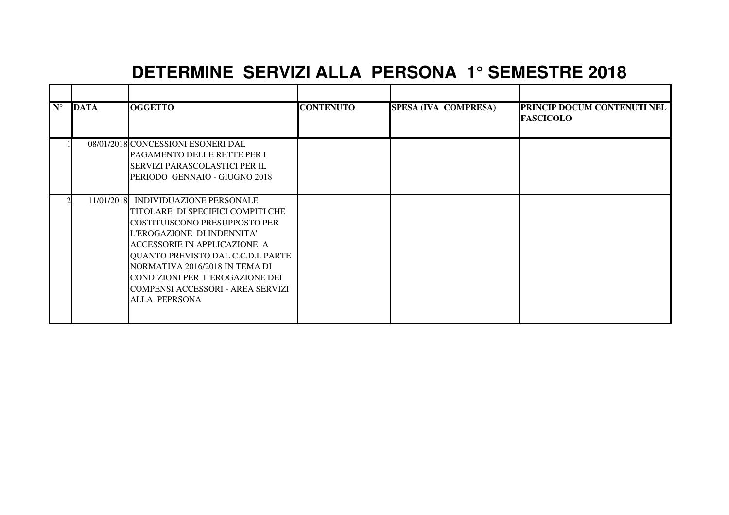## **DETERMINE SERVIZI ALLA PERSONA 1° SEMESTRE 2018**

| $N^{\circ}$ | <b>DATA</b> | <b>OGGETTO</b>                                                                                                                                                                                                                                                                                                                                    | <b>CONTENUTO</b> | SPESA (IVA COMPRESA) | <b>PRINCIP DOCUM CONTENUTI NEL</b><br><b>FASCICOLO</b> |
|-------------|-------------|---------------------------------------------------------------------------------------------------------------------------------------------------------------------------------------------------------------------------------------------------------------------------------------------------------------------------------------------------|------------------|----------------------|--------------------------------------------------------|
|             |             | 08/01/2018 CONCESSIONI ESONERI DAL<br><b>PAGAMENTO DELLE RETTE PER I</b><br><b>SERVIZI PARASCOLASTICI PER IL</b><br>PERIODO GENNAIO - GIUGNO 2018                                                                                                                                                                                                 |                  |                      |                                                        |
|             |             | 11/01/2018 INDIVIDUAZIONE PERSONALE<br>TITOLARE DI SPECIFICI COMPITI CHE<br>ICOSTITUISCONO PRESUPPOSTO PER<br>L'EROGAZIONE DI INDENNITA'<br>ACCESSORIE IN APPLICAZIONE A<br>QUANTO PREVISTO DAL C.C.D.I. PARTE<br>NORMATIVA 2016/2018 IN TEMA DI<br>CONDIZIONI PER L'EROGAZIONE DEI<br>ICOMPENSI ACCESSORI - AREA SERVIZI<br><b>ALLA PEPRSONA</b> |                  |                      |                                                        |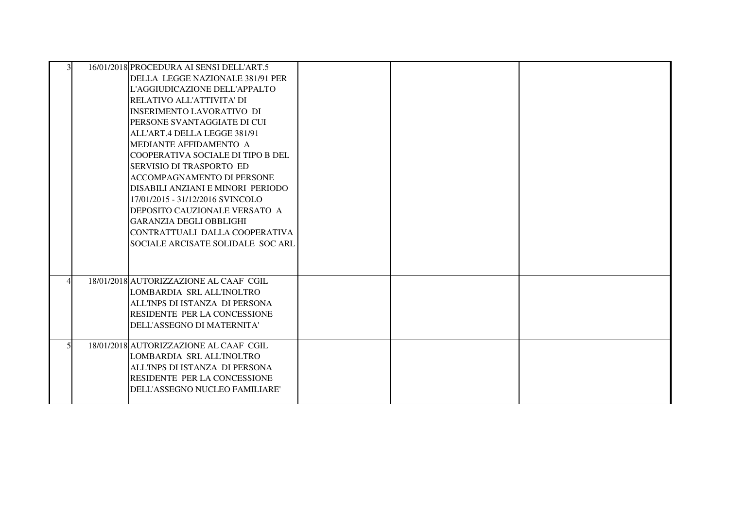| 16/01/2018 PROCEDURA AI SENSI DELL'ART.5<br>DELLA LEGGE NAZIONALE 381/91 PER<br>L'AGGIUDICAZIONE DELL'APPALTO<br>RELATIVO ALL'ATTIVITA' DI<br>IINSERIMENTO LAVORATIVO DI<br><b>IPERSONE SVANTAGGIATE DI CUI</b><br>ALL'ART.4 DELLA LEGGE 381/91<br><b>IMEDIANTE AFFIDAMENTO A</b><br>COOPERATIVA SOCIALE DI TIPO B DEL<br><b>SERVISIO DI TRASPORTO ED</b><br><b>ACCOMPAGNAMENTO DI PERSONE</b><br>DISABILI ANZIANI E MINORI PERIODO<br>17/01/2015 - 31/12/2016 SVINCOLO<br>DEPOSITO CAUZIONALE VERSATO A<br><b>GARANZIA DEGLI OBBLIGHI</b><br>CONTRATTUALI DALLA COOPERATIVA<br>SOCIALE ARCISATE SOLIDALE SOC ARL |  |  |
|-------------------------------------------------------------------------------------------------------------------------------------------------------------------------------------------------------------------------------------------------------------------------------------------------------------------------------------------------------------------------------------------------------------------------------------------------------------------------------------------------------------------------------------------------------------------------------------------------------------------|--|--|
| 18/01/2018 AUTORIZZAZIONE AL CAAF CGIL<br>LOMBARDIA SRL ALL'INOLTRO<br>ALL'INPS DI ISTANZA DI PERSONA<br><b>RESIDENTE PER LA CONCESSIONE</b><br>DELL'ASSEGNO DI MATERNITA'                                                                                                                                                                                                                                                                                                                                                                                                                                        |  |  |
| 18/01/2018 AUTORIZZAZIONE AL CAAF CGIL<br>LOMBARDIA SRL ALL'INOLTRO<br>ALL'INPS DI ISTANZA DI PERSONA<br><b>RESIDENTE PER LA CONCESSIONE</b><br>DELL'ASSEGNO NUCLEO FAMILIARE'                                                                                                                                                                                                                                                                                                                                                                                                                                    |  |  |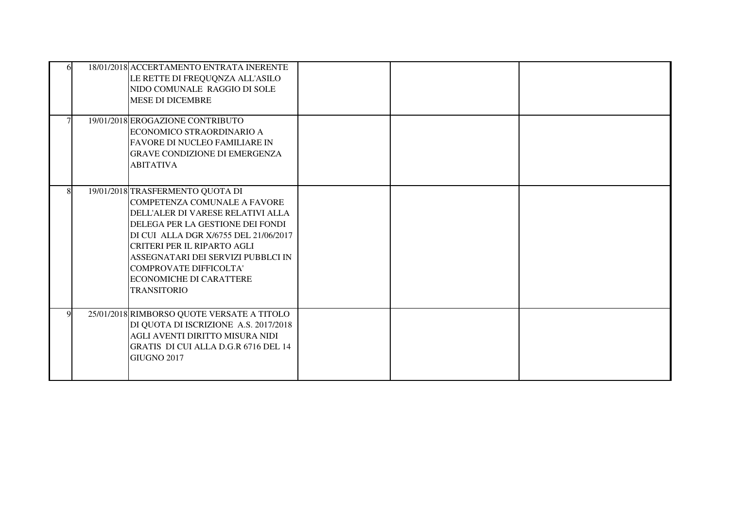|             | 18/01/2018 ACCERTAMENTO ENTRATA INERENTE<br>LE RETTE DI FREQUQNZA ALL'ASILO<br>NIDO COMUNALE RAGGIO DI SOLE<br><b>MESE DI DICEMBRE</b>                                                                                                                                                                                                                         |  |  |
|-------------|----------------------------------------------------------------------------------------------------------------------------------------------------------------------------------------------------------------------------------------------------------------------------------------------------------------------------------------------------------------|--|--|
|             | 19/01/2018 EROGAZIONE CONTRIBUTO<br>ECONOMICO STRAORDINARIO A<br><b>FAVORE DI NUCLEO FAMILIARE IN</b><br><b>GRAVE CONDIZIONE DI EMERGENZA</b><br><b>ABITATIVA</b>                                                                                                                                                                                              |  |  |
| 8           | 19/01/2018 TRASFERMENTO QUOTA DI<br><b>COMPETENZA COMUNALE A FAVORE</b><br>DELL'ALER DI VARESE RELATIVI ALLA<br>DELEGA PER LA GESTIONE DEI FONDI<br>DI CUI ALLA DGR X/6755 DEL 21/06/2017<br><b>CRITERI PER IL RIPARTO AGLI</b><br>ASSEGNATARI DEI SERVIZI PUBBLCI IN<br><b>COMPROVATE DIFFICOLTA'</b><br><b>ECONOMICHE DI CARATTERE</b><br><b>TRANSITORIO</b> |  |  |
| $\mathbf Q$ | 25/01/2018 RIMBORSO QUOTE VERSATE A TITOLO<br>DI QUOTA DI ISCRIZIONE A.S. 2017/2018<br>AGLI AVENTI DIRITTO MISURA NIDI<br>GRATIS DI CUI ALLA D.G.R 6716 DEL 14<br><b>GIUGNO 2017</b>                                                                                                                                                                           |  |  |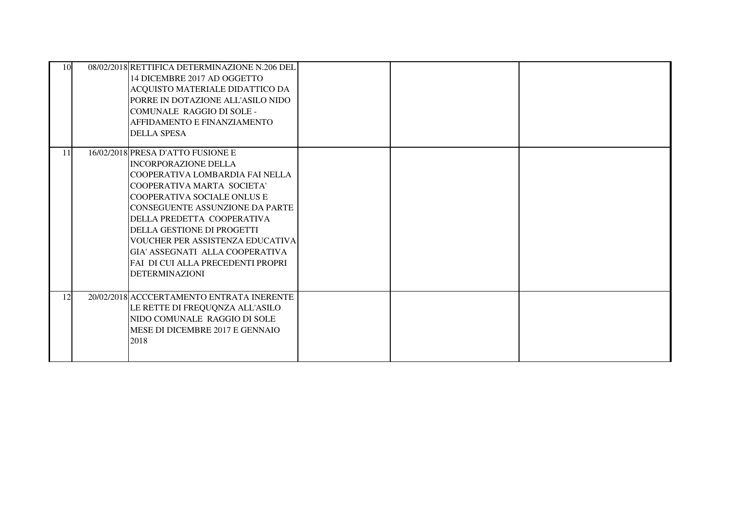| 10 | 08/02/2018 RETTIFICA DETERMINAZIONE N.206 DEL<br>14 DICEMBRE 2017 AD OGGETTO<br>ACQUISTO MATERIALE DIDATTICO DA<br>PORRE IN DOTAZIONE ALL'ASILO NIDO<br><b>COMUNALE RAGGIO DI SOLE -</b><br>AFFIDAMENTO E FINANZIAMENTO<br><b>DELLA SPESA</b>                                                                                                                                                                      |  |  |
|----|--------------------------------------------------------------------------------------------------------------------------------------------------------------------------------------------------------------------------------------------------------------------------------------------------------------------------------------------------------------------------------------------------------------------|--|--|
| 11 | 16/02/2018 PRESA D'ATTO FUSIONE E<br><b>INCORPORAZIONE DELLA</b><br>COOPERATIVA LOMBARDIA FAI NELLA<br>COOPERATIVA MARTA SOCIETA'<br>COOPERATIVA SOCIALE ONLUS E<br><b>CONSEGUENTE ASSUNZIONE DA PARTE</b><br>DELLA PREDETTA COOPERATIVA<br>DELLA GESTIONE DI PROGETTI<br><b>VOUCHER PER ASSISTENZA EDUCATIVA</b><br>GIA' ASSEGNATI ALLA COOPERATIVA<br>FAI DI CUI ALLA PRECEDENTI PROPRI<br><b>DETERMINAZIONI</b> |  |  |
| 12 | 20/02/2018 ACCCERTAMENTO ENTRATA INERENTE<br>LE RETTE DI FREQUQNZA ALL'ASILO<br>NIDO COMUNALE RAGGIO DI SOLE<br>MESE DI DICEMBRE 2017 E GENNAIO<br>2018                                                                                                                                                                                                                                                            |  |  |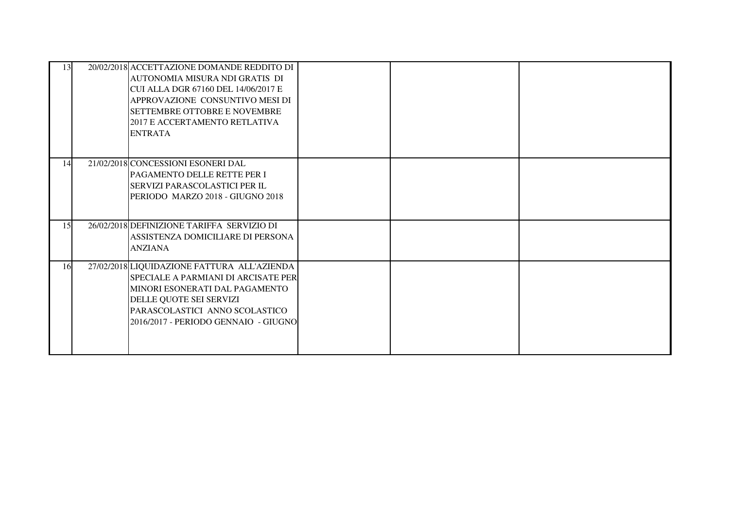| 13 | 20/02/2018 ACCETTAZIONE DOMANDE REDDITO DI<br>AUTONOMIA MISURA NDI GRATIS DI<br>CUI ALLA DGR 67160 DEL 14/06/2017 E<br>APPROVAZIONE CONSUNTIVO MESI DI<br><b>SETTEMBRE OTTOBRE E NOVEMBRE</b><br>2017 E ACCERTAMENTO RETLATIVA<br><b>ENTRATA</b> |  |  |
|----|--------------------------------------------------------------------------------------------------------------------------------------------------------------------------------------------------------------------------------------------------|--|--|
| 14 | 21/02/2018 CONCESSIONI ESONERI DAL<br>PAGAMENTO DELLE RETTE PER I<br><b>SERVIZI PARASCOLASTICI PER IL</b><br>PERIODO MARZO 2018 - GIUGNO 2018                                                                                                    |  |  |
| 15 | 26/02/2018 DEFINIZIONE TARIFFA SERVIZIO DI<br>ASSISTENZA DOMICILIARE DI PERSONA<br><b>ANZIANA</b>                                                                                                                                                |  |  |
| 16 | 27/02/2018 LIQUIDAZIONE FATTURA ALL'AZIENDA<br>SPECIALE A PARMIANI DI ARCISATE PER<br>MINORI ESONERATI DAL PAGAMENTO<br>DELLE QUOTE SEI SERVIZI<br>PARASCOLASTICI ANNO SCOLASTICO<br>2016/2017 - PERIODO GENNAIO - GIUGNO                        |  |  |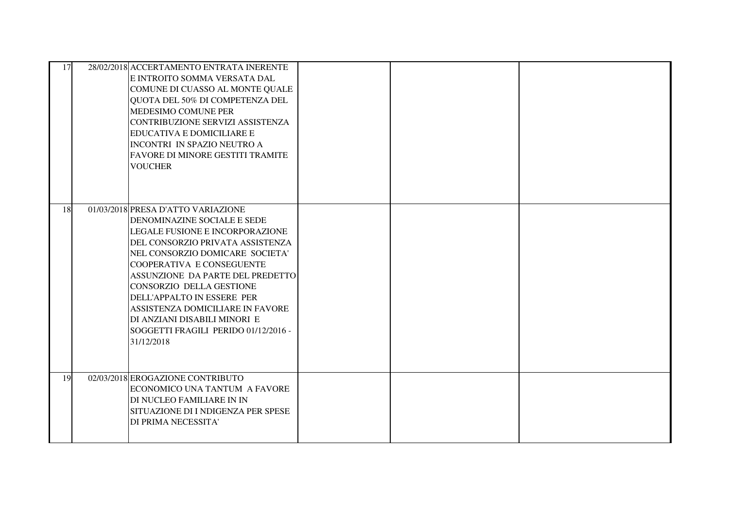| 17 | 28/02/2018 ACCERTAMENTO ENTRATA INERENTE<br>E INTROITO SOMMA VERSATA DAL<br>COMUNE DI CUASSO AL MONTE QUALE<br>QUOTA DEL 50% DI COMPETENZA DEL<br>MEDESIMO COMUNE PER<br>CONTRIBUZIONE SERVIZI ASSISTENZA<br>EDUCATIVA E DOMICILIARE E<br>INCONTRI IN SPAZIO NEUTRO A<br>FAVORE DI MINORE GESTITI TRAMITE<br><b>VOUCHER</b>                                                                                                      |  |  |
|----|----------------------------------------------------------------------------------------------------------------------------------------------------------------------------------------------------------------------------------------------------------------------------------------------------------------------------------------------------------------------------------------------------------------------------------|--|--|
| 18 | 01/03/2018 PRESA D'ATTO VARIAZIONE<br>DENOMINAZINE SOCIALE E SEDE<br>LEGALE FUSIONE E INCORPORAZIONE<br>DEL CONSORZIO PRIVATA ASSISTENZA<br>NEL CONSORZIO DOMICARE SOCIETA'<br>COOPERATIVA E CONSEGUENTE<br>ASSUNZIONE DA PARTE DEL PREDETTO<br>CONSORZIO DELLA GESTIONE<br>DELL'APPALTO IN ESSERE PER<br>ASSISTENZA DOMICILIARE IN FAVORE<br>DI ANZIANI DISABILI MINORI E<br>SOGGETTI FRAGILI PERIDO 01/12/2016 -<br>31/12/2018 |  |  |
| 19 | 02/03/2018 EROGAZIONE CONTRIBUTO<br>ECONOMICO UNA TANTUM A FAVORE<br>DI NUCLEO FAMILIARE IN IN<br>SITUAZIONE DI I NDIGENZA PER SPESE<br>DI PRIMA NECESSITA'                                                                                                                                                                                                                                                                      |  |  |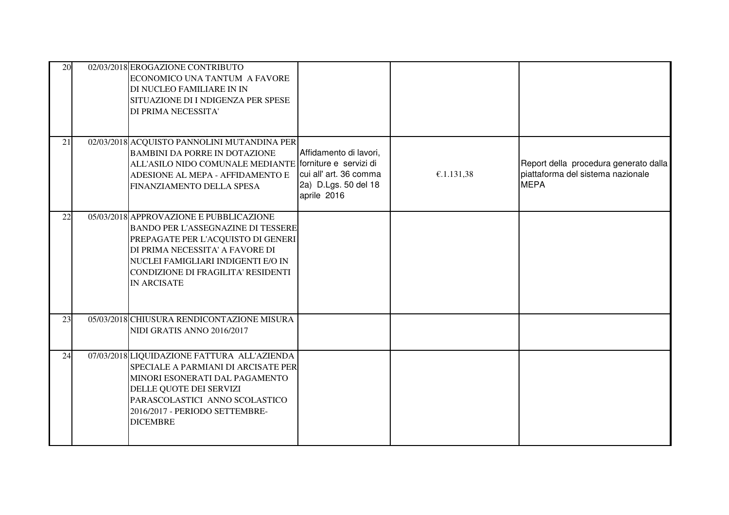| 20 | 02/03/2018 EROGAZIONE CONTRIBUTO<br>ECONOMICO UNA TANTUM A FAVORE<br>DI NUCLEO FAMILIARE IN IN<br>SITUAZIONE DI I NDIGENZA PER SPESE<br>DI PRIMA NECESSITA'                                                                                                     |                                                                                         |            |                                                                                           |
|----|-----------------------------------------------------------------------------------------------------------------------------------------------------------------------------------------------------------------------------------------------------------------|-----------------------------------------------------------------------------------------|------------|-------------------------------------------------------------------------------------------|
| 21 | 02/03/2018 ACQUISTO PANNOLINI MUTANDINA PER<br><b>BAMBINI DA PORRE IN DOTAZIONE</b><br>ALL'ASILO NIDO COMUNALE MEDIANTE forniture e servizi di<br>ADESIONE AL MEPA - AFFIDAMENTO E<br>FINANZIAMENTO DELLA SPESA                                                 | Affidamento di lavori,<br>cui all' art. 36 comma<br>2a) D.Lgs. 50 del 18<br>aprile 2016 | €.1.131,38 | Report della procedura generato dalla<br>piattaforma del sistema nazionale<br><b>MEPA</b> |
| 22 | 05/03/2018 APPROVAZIONE E PUBBLICAZIONE<br><b>BANDO PER L'ASSEGNAZINE DI TESSERE</b><br>PREPAGATE PER L'ACQUISTO DI GENERI<br>DI PRIMA NECESSITA' A FAVORE DI<br>NUCLEI FAMIGLIARI INDIGENTI E/O IN<br>CONDIZIONE DI FRAGILITA' RESIDENTI<br><b>IN ARCISATE</b> |                                                                                         |            |                                                                                           |
| 23 | 05/03/2018 CHIUSURA RENDICONTAZIONE MISURA<br>NIDI GRATIS ANNO 2016/2017                                                                                                                                                                                        |                                                                                         |            |                                                                                           |
| 24 | 07/03/2018 LIQUIDAZIONE FATTURA ALL'AZIENDA<br>SPECIALE A PARMIANI DI ARCISATE PER<br>MINORI ESONERATI DAL PAGAMENTO<br>DELLE QUOTE DEI SERVIZI<br>PARASCOLASTICI ANNO SCOLASTICO<br>2016/2017 - PERIODO SETTEMBRE-<br><b>DICEMBRE</b>                          |                                                                                         |            |                                                                                           |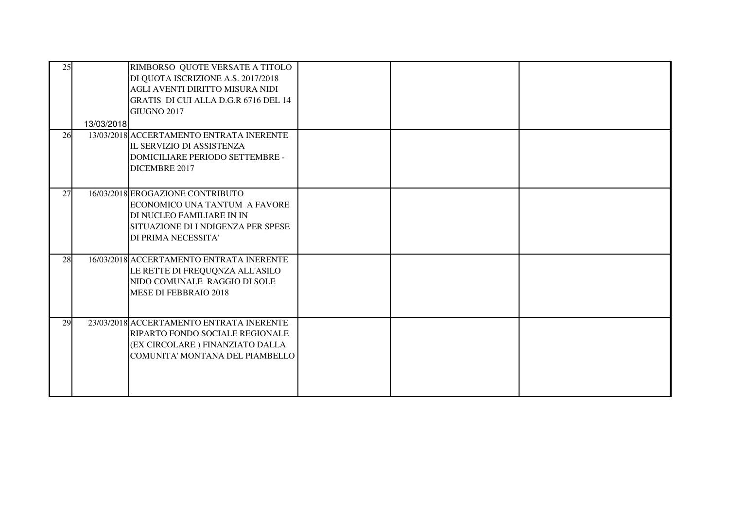| 25 | 13/03/2018 | RIMBORSO QUOTE VERSATE A TITOLO<br>DI QUOTA ISCRIZIONE A.S. 2017/2018<br>AGLI AVENTI DIRITTO MISURA NIDI<br>GRATIS DI CUI ALLA D.G.R 6716 DEL 14<br>GIUGNO 2017    |  |  |
|----|------------|--------------------------------------------------------------------------------------------------------------------------------------------------------------------|--|--|
| 26 |            | 13/03/2018 ACCERTAMENTO ENTRATA INERENTE<br>IL SERVIZIO DI ASSISTENZA<br>DOMICILIARE PERIODO SETTEMBRE -<br>DICEMBRE 2017                                          |  |  |
| 27 |            | 16/03/2018 EROGAZIONE CONTRIBUTO<br><b>ECONOMICO UNA TANTUM A FAVORE</b><br>DI NUCLEO FAMILIARE IN IN<br>SITUAZIONE DI I NDIGENZA PER SPESE<br>DI PRIMA NECESSITA' |  |  |
| 28 |            | 16/03/2018 ACCERTAMENTO ENTRATA INERENTE<br>LE RETTE DI FREQUQNZA ALL'ASILO<br>NIDO COMUNALE RAGGIO DI SOLE<br>MESE DI FEBBRAIO 2018                               |  |  |
| 29 |            | 23/03/2018 ACCERTAMENTO ENTRATA INERENTE<br>RIPARTO FONDO SOCIALE REGIONALE<br>(EX CIRCOLARE ) FINANZIATO DALLA<br>COMUNITA' MONTANA DEL PIAMBELLO                 |  |  |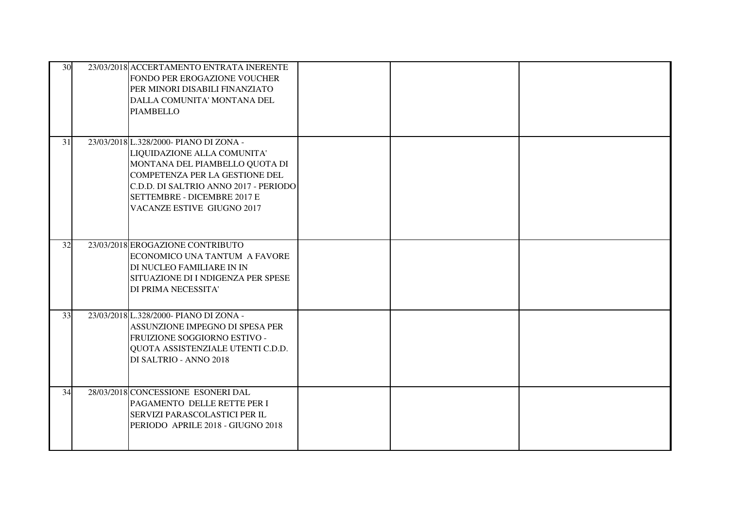| 30 | 23/03/2018 ACCERTAMENTO ENTRATA INERENTE<br>FONDO PER EROGAZIONE VOUCHER<br>PER MINORI DISABILI FINANZIATO<br>DALLA COMUNITA' MONTANA DEL<br><b>PIAMBELLO</b>                                                                                   |  |  |
|----|-------------------------------------------------------------------------------------------------------------------------------------------------------------------------------------------------------------------------------------------------|--|--|
| 31 | 23/03/2018 L.328/2000- PIANO DI ZONA -<br>LIQUIDAZIONE ALLA COMUNITA'<br>MONTANA DEL PIAMBELLO QUOTA DI<br>COMPETENZA PER LA GESTIONE DEL<br>C.D.D. DI SALTRIO ANNO 2017 - PERIODO<br>SETTEMBRE - DICEMBRE 2017 E<br>VACANZE ESTIVE GIUGNO 2017 |  |  |
| 32 | 23/03/2018 EROGAZIONE CONTRIBUTO<br>ECONOMICO UNA TANTUM A FAVORE<br>DI NUCLEO FAMILIARE IN IN<br>SITUAZIONE DI I NDIGENZA PER SPESE<br>DI PRIMA NECESSITA'                                                                                     |  |  |
| 33 | 23/03/2018 L.328/2000- PIANO DI ZONA -<br>ASSUNZIONE IMPEGNO DI SPESA PER<br>FRUIZIONE SOGGIORNO ESTIVO -<br>QUOTA ASSISTENZIALE UTENTI C.D.D.<br>DI SALTRIO - ANNO 2018                                                                        |  |  |
| 34 | 28/03/2018 CONCESSIONE ESONERI DAL<br>PAGAMENTO DELLE RETTE PER I<br>SERVIZI PARASCOLASTICI PER IL<br>PERIODO APRILE 2018 - GIUGNO 2018                                                                                                         |  |  |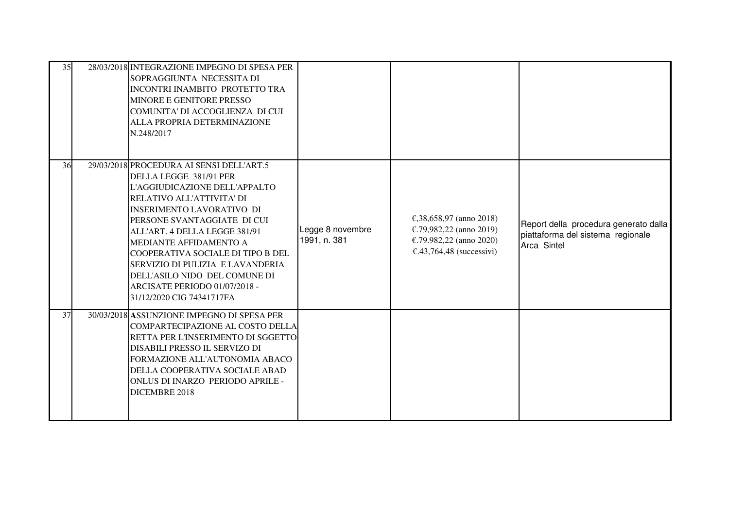| 35 | 28/03/2018 INTEGRAZIONE IMPEGNO DI SPESA PER<br>SOPRAGGIUNTA NECESSITA DI<br>INCONTRI INAMBITO PROTETTO TRA<br>MINORE E GENITORE PRESSO<br>COMUNITA' DI ACCOGLIENZA DI CUI<br>ALLA PROPRIA DETERMINAZIONE<br>N.248/2017                                                                                                                                                                                                                |                                  |                                                                                                                     |                                                                                           |
|----|----------------------------------------------------------------------------------------------------------------------------------------------------------------------------------------------------------------------------------------------------------------------------------------------------------------------------------------------------------------------------------------------------------------------------------------|----------------------------------|---------------------------------------------------------------------------------------------------------------------|-------------------------------------------------------------------------------------------|
| 36 | 29/03/2018 PROCEDURA AI SENSI DELL'ART.5<br>DELLA LEGGE 381/91 PER<br>L'AGGIUDICAZIONE DELL'APPALTO<br>RELATIVO ALL'ATTIVITA' DI<br><b>INSERIMENTO LAVORATIVO DI</b><br>PERSONE SVANTAGGIATE DI CUI<br>ALL'ART. 4 DELLA LEGGE 381/91<br>MEDIANTE AFFIDAMENTO A<br>COOPERATIVA SOCIALE DI TIPO B DEL<br>SERVIZIO DI PULIZIA E LAVANDERIA<br>DELL'ASILO NIDO DEL COMUNE DI<br>ARCISATE PERIODO 01/07/2018 -<br>31/12/2020 CIG 74341717FA | Legge 8 novembre<br>1991, n. 381 | €,38,658,97 (anno 2018)<br>€.79,982,22 (anno 2019)<br>€.79.982,22 (anno 2020)<br>$\epsilon$ .43,764,48 (successivi) | Report della procedura generato dalla<br>piattaforma del sistema regionale<br>Arca Sintel |
| 37 | 30/03/2018 ASSUNZIONE IMPEGNO DI SPESA PER<br>COMPARTECIPAZIONE AL COSTO DELLA<br>RETTA PER L'INSERIMENTO DI SGGETTO<br>DISABILI PRESSO IL SERVIZO DI<br>FORMAZIONE ALL'AUTONOMIA ABACO<br>DELLA COOPERATIVA SOCIALE ABAD<br>ONLUS DI INARZO PERIODO APRILE -<br>DICEMBRE 2018                                                                                                                                                         |                                  |                                                                                                                     |                                                                                           |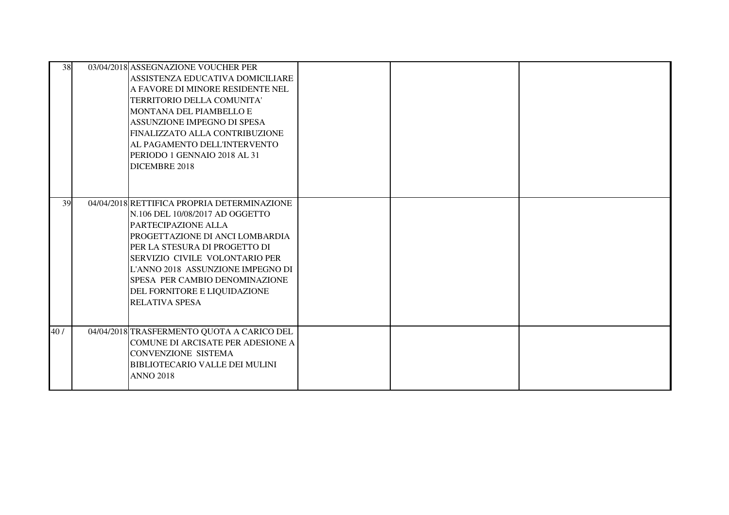| 38  | 03/04/2018 ASSEGNAZIONE VOUCHER PER<br>ASSISTENZA EDUCATIVA DOMICILIARE<br>A FAVORE DI MINORE RESIDENTE NEL<br>TERRITORIO DELLA COMUNITA'<br>MONTANA DEL PIAMBELLO E<br>ASSUNZIONE IMPEGNO DI SPESA<br>FINALIZZATO ALLA CONTRIBUZIONE<br>AL PAGAMENTO DELL'INTERVENTO<br>PERIODO 1 GENNAIO 2018 AL 31<br>DICEMBRE 2018                      |  |  |
|-----|---------------------------------------------------------------------------------------------------------------------------------------------------------------------------------------------------------------------------------------------------------------------------------------------------------------------------------------------|--|--|
| 39  | 04/04/2018 RETTIFICA PROPRIA DETERMINAZIONE<br>N.106 DEL 10/08/2017 AD OGGETTO<br>PARTECIPAZIONE ALLA<br>PROGETTAZIONE DI ANCI LOMBARDIA<br>PER LA STESURA DI PROGETTO DI<br>SERVIZIO CIVILE VOLONTARIO PER<br>L'ANNO 2018 ASSUNZIONE IMPEGNO DI<br>SPESA PER CAMBIO DENOMINAZIONE<br>DEL FORNITORE E LIQUIDAZIONE<br><b>RELATIVA SPESA</b> |  |  |
| 40/ | 04/04/2018 TRASFERMENTO QUOTA A CARICO DEL<br>COMUNE DI ARCISATE PER ADESIONE A<br><b>CONVENZIONE SISTEMA</b><br><b>BIBLIOTECARIO VALLE DEI MULINI</b><br><b>ANNO 2018</b>                                                                                                                                                                  |  |  |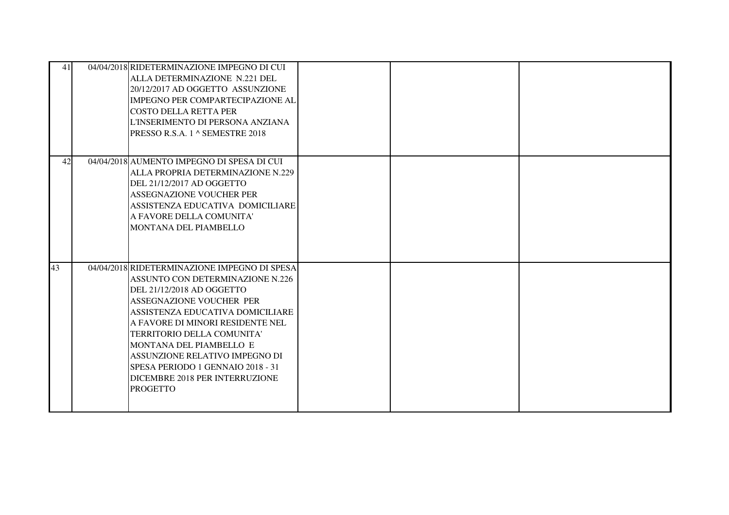| 41 | 04/04/2018 RIDETERMINAZIONE IMPEGNO DI CUI<br>ALLA DETERMINAZIONE N.221 DEL<br>20/12/2017 AD OGGETTO ASSUNZIONE<br><b>IMPEGNO PER COMPARTECIPAZIONE AL</b><br>COSTO DELLA RETTA PER<br>L'INSERIMENTO DI PERSONA ANZIANA<br>PRESSO R.S.A. 1 ^ SEMESTRE 2018                                                                                                                                                    |  |  |
|----|---------------------------------------------------------------------------------------------------------------------------------------------------------------------------------------------------------------------------------------------------------------------------------------------------------------------------------------------------------------------------------------------------------------|--|--|
| 42 | 04/04/2018 AUMENTO IMPEGNO DI SPESA DI CUI<br>ALLA PROPRIA DETERMINAZIONE N.229<br>DEL 21/12/2017 AD OGGETTO<br>ASSEGNAZIONE VOUCHER PER<br>ASSISTENZA EDUCATIVA DOMICILIARE<br>A FAVORE DELLA COMUNITA'<br>MONTANA DEL PIAMBELLO                                                                                                                                                                             |  |  |
| 43 | 04/04/2018 RIDETERMINAZIONE IMPEGNO DI SPESA<br><b>ASSUNTO CON DETERMINAZIONE N.226</b><br>DEL 21/12/2018 AD OGGETTO<br>ASSEGNAZIONE VOUCHER PER<br>ASSISTENZA EDUCATIVA DOMICILIARE<br>A FAVORE DI MINORI RESIDENTE NEL<br>TERRITORIO DELLA COMUNITA'<br>MONTANA DEL PIAMBELLO E<br>ASSUNZIONE RELATIVO IMPEGNO DI<br>SPESA PERIODO 1 GENNAIO 2018 - 31<br>DICEMBRE 2018 PER INTERRUZIONE<br><b>PROGETTO</b> |  |  |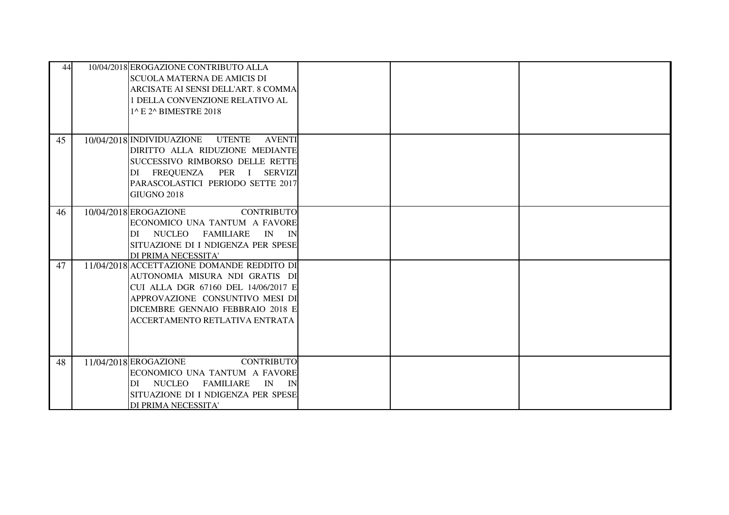| 44 | 10/04/2018 EROGAZIONE CONTRIBUTO ALLA<br><b>SCUOLA MATERNA DE AMICIS DI</b><br>ARCISATE AI SENSI DELL'ART. 8 COMMA<br>1 DELLA CONVENZIONE RELATIVO AL<br>1^ E 2^ BIMESTRE 2018                                               |  |  |
|----|------------------------------------------------------------------------------------------------------------------------------------------------------------------------------------------------------------------------------|--|--|
| 45 | 10/04/2018 INDIVIDUAZIONE<br><b>UTENTE</b><br><b>AVENTI</b><br>DIRITTO ALLA RIDUZIONE MEDIANTE<br>SUCCESSIVO RIMBORSO DELLE RETTE<br>DI FREQUENZA PER I SERVIZI<br>PARASCOLASTICI PERIODO SETTE 2017<br><b>GIUGNO 2018</b>   |  |  |
| 46 | 10/04/2018 EROGAZIONE<br><b>CONTRIBUTO</b><br>ECONOMICO UNA TANTUM A FAVORE<br>NUCLEO FAMILIARE<br>IN IN<br>DI<br>SITUAZIONE DI I NDIGENZA PER SPESE<br>DI PRIMA NECESSITA'                                                  |  |  |
| 47 | 11/04/2018 ACCETTAZIONE DOMANDE REDDITO DI<br>AUTONOMIA MISURA NDI GRATIS DI<br>CUI ALLA DGR 67160 DEL 14/06/2017 E<br>APPROVAZIONE CONSUNTIVO MESI DI<br>DICEMBRE GENNAIO FEBBRAIO 2018 E<br>ACCERTAMENTO RETLATIVA ENTRATA |  |  |
| 48 | 11/04/2018 EROGAZIONE<br><b>CONTRIBUTO</b><br>ECONOMICO UNA TANTUM A FAVORE<br>NUCLEO<br>IN IN<br>FAMILIARE<br>DI<br>SITUAZIONE DI I NDIGENZA PER SPESE<br>DI PRIMA NECESSITA'                                               |  |  |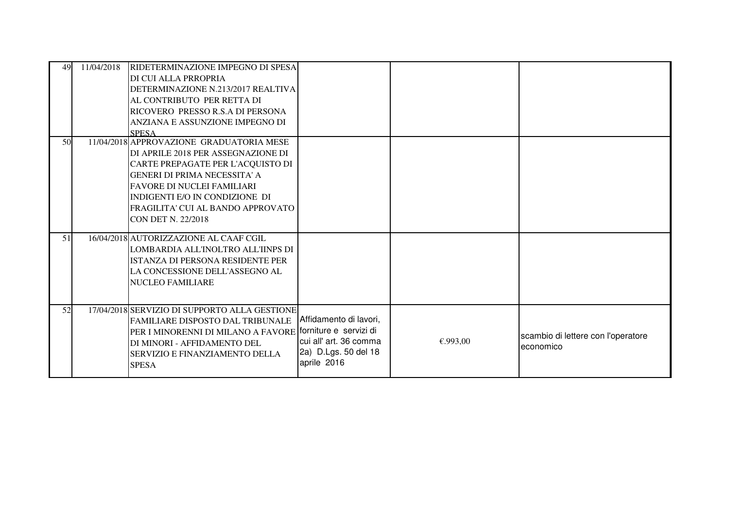| 49 | 11/04/2018 | RIDETERMINAZIONE IMPEGNO DI SPESA<br>DI CUI ALLA PRROPRIA<br>DETERMINAZIONE N.213/2017 REALTIVA<br>AL CONTRIBUTO PER RETTA DI<br>RICOVERO PRESSO R.S.A DI PERSONA<br>ANZIANA E ASSUNZIONE IMPEGNO DI<br><b>SPESA</b>                                                                         |                                                                                         |          |                                                 |
|----|------------|----------------------------------------------------------------------------------------------------------------------------------------------------------------------------------------------------------------------------------------------------------------------------------------------|-----------------------------------------------------------------------------------------|----------|-------------------------------------------------|
| 50 |            | 11/04/2018 APPROVAZIONE GRADUATORIA MESE<br>DI APRILE 2018 PER ASSEGNAZIONE DI<br>CARTE PREPAGATE PER L'ACQUISTO DI<br><b>GENERI DI PRIMA NECESSITA' A</b><br><b>FAVORE DI NUCLEI FAMILIARI</b><br>INDIGENTI E/O IN CONDIZIONE DI<br>FRAGILITA' CUI AL BANDO APPROVATO<br>CON DET N. 22/2018 |                                                                                         |          |                                                 |
| 51 |            | 16/04/2018 AUTORIZZAZIONE AL CAAF CGIL<br>LOMBARDIA ALL'INOLTRO ALL'IINPS DI<br><b>ISTANZA DI PERSONA RESIDENTE PER</b><br>LA CONCESSIONE DELL'ASSEGNO AL<br><b>NUCLEO FAMILIARE</b>                                                                                                         |                                                                                         |          |                                                 |
| 52 |            | 17/04/2018 SERVIZIO DI SUPPORTO ALLA GESTIONE<br><b>FAMILIARE DISPOSTO DAL TRIBUNALE</b><br>PER I MINORENNI DI MILANO A FAVORE forniture e servizi di<br>DI MINORI - AFFIDAMENTO DEL<br>SERVIZIO E FINANZIAMENTO DELLA<br><b>SPESA</b>                                                       | Affidamento di lavori,<br>cui all' art. 36 comma<br>2a) D.Lgs. 50 del 18<br>aprile 2016 | €.993,00 | scambio di lettere con l'operatore<br>economico |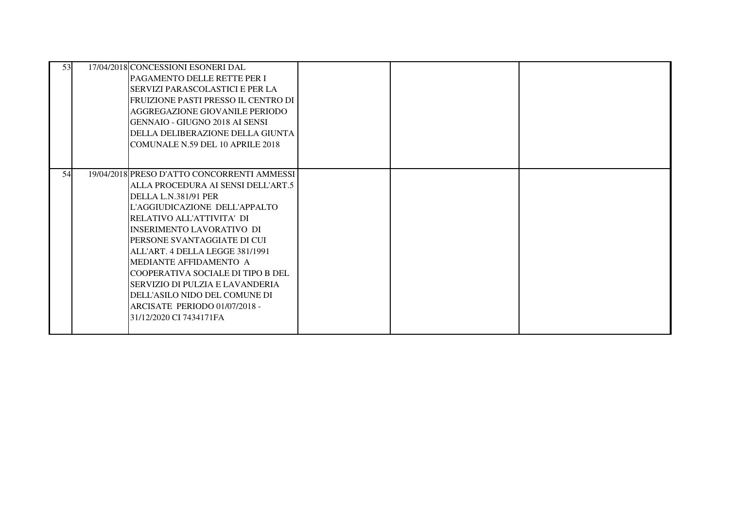| 53 | 17/04/2018 CONCESSIONI ESONERI DAL<br><b>PAGAMENTO DELLE RETTE PER I</b><br>ISERVIZI PARASCOLASTICI E PER LA<br> FRUIZIONE PASTI PRESSO IL CENTRO DI<br>AGGREGAZIONE GIOVANILE PERIODO<br>IGENNAIO - GIUGNO 2018 AI SENSI<br>IDELLA DELIBERAZIONE DELLA GIUNTA<br>COMUNALE N.59 DEL 10 APRILE 2018                                                                                                                                                                        |  |  |
|----|---------------------------------------------------------------------------------------------------------------------------------------------------------------------------------------------------------------------------------------------------------------------------------------------------------------------------------------------------------------------------------------------------------------------------------------------------------------------------|--|--|
| 54 | 19/04/2018 PRESO D'ATTO CONCORRENTI AMMESSI<br>ALLA PROCEDURA AI SENSI DELL'ART.5<br>DELLA L.N.381/91 PER<br>L'AGGIUDICAZIONE DELL'APPALTO<br>IRELATIVO ALL'ATTIVITA' DI<br>IINSERIMENTO LAVORATIVO DI<br>IPERSONE SVANTAGGIATE DI CUI<br>ALL'ART. 4 DELLA LEGGE 381/1991<br>MEDIANTE AFFIDAMENTO A<br>ICOOPERATIVA SOCIALE DI TIPO B DEL<br>SERVIZIO DI PULZIA E LAVANDERIA<br>DELL'ASILO NIDO DEL COMUNE DI<br>ARCISATE PERIODO 01/07/2018 -<br>31/12/2020 CI 7434171FA |  |  |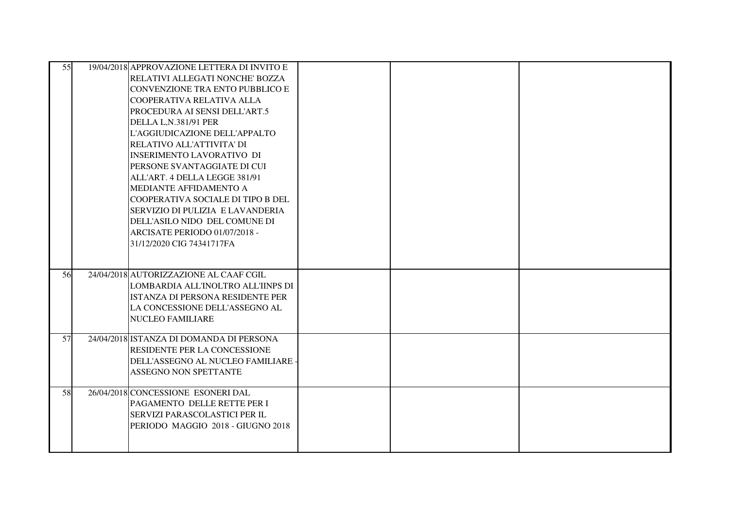| 55 | 19/04/2018 APPROVAZIONE LETTERA DI INVITO E |  |  |
|----|---------------------------------------------|--|--|
|    | RELATIVI ALLEGATI NONCHE' BOZZA             |  |  |
|    | ICONVENZIONE TRA ENTO PUBBLICO E            |  |  |
|    | COOPERATIVA RELATIVA ALLA                   |  |  |
|    | PROCEDURA AI SENSI DELL'ART.5               |  |  |
|    | DELLA L, N.381/91 PER                       |  |  |
|    | L'AGGIUDICAZIONE DELL'APPALTO               |  |  |
|    | RELATIVO ALL'ATTIVITA' DI                   |  |  |
|    | <b>INSERIMENTO LAVORATIVO DI</b>            |  |  |
|    | IPERSONE SVANTAGGIATE DI CUI                |  |  |
|    | ALL'ART. 4 DELLA LEGGE 381/91               |  |  |
|    | MEDIANTE AFFIDAMENTO A                      |  |  |
|    | COOPERATIVA SOCIALE DI TIPO B DEL           |  |  |
|    | SERVIZIO DI PULIZIA E LAVANDERIA            |  |  |
|    | DELL'ASILO NIDO DEL COMUNE DI               |  |  |
|    | ARCISATE PERIODO 01/07/2018 -               |  |  |
|    | 31/12/2020 CIG 74341717FA                   |  |  |
|    |                                             |  |  |
| 56 | 24/04/2018 AUTORIZZAZIONE AL CAAF CGIL      |  |  |
|    | LOMBARDIA ALL'INOLTRO ALL'IINPS DI          |  |  |
|    | ISTANZA DI PERSONA RESIDENTE PER            |  |  |
|    | LA CONCESSIONE DELL'ASSEGNO AL              |  |  |
|    | <b>NUCLEO FAMILIARE</b>                     |  |  |
|    |                                             |  |  |
| 57 | 24/04/2018 ISTANZA DI DOMANDA DI PERSONA    |  |  |
|    | <b>RESIDENTE PER LA CONCESSIONE</b>         |  |  |
|    | DELL'ASSEGNO AL NUCLEO FAMILIARE -          |  |  |
|    | <b>ASSEGNO NON SPETTANTE</b>                |  |  |
| 58 | 26/04/2018 CONCESSIONE ESONERI DAL          |  |  |
|    | PAGAMENTO DELLE RETTE PER I                 |  |  |
|    | <b>SERVIZI PARASCOLASTICI PER IL</b>        |  |  |
|    | PERIODO MAGGIO 2018 - GIUGNO 2018           |  |  |
|    |                                             |  |  |
|    |                                             |  |  |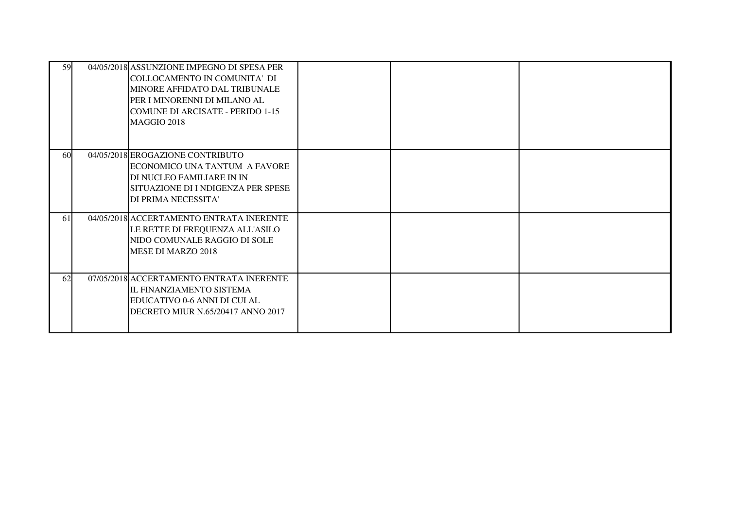| 59 | 04/05/2018 ASSUNZIONE IMPEGNO DI SPESA PER<br>COLLOCAMENTO IN COMUNITA' DI<br>MINORE AFFIDATO DAL TRIBUNALE<br>PER I MINORENNI DI MILANO AL<br><b>COMUNE DI ARCISATE - PERIDO 1-15</b><br>MAGGIO 2018 |  |  |
|----|-------------------------------------------------------------------------------------------------------------------------------------------------------------------------------------------------------|--|--|
| 60 | 04/05/2018 EROGAZIONE CONTRIBUTO<br>ECONOMICO UNA TANTUM A FAVORE<br>DI NUCLEO FAMILIARE IN IN<br>SITUAZIONE DI I NDIGENZA PER SPESE<br>DI PRIMA NECESSITA'                                           |  |  |
| 61 | 04/05/2018 ACCERTAMENTO ENTRATA INERENTE<br>LE RETTE DI FREQUENZA ALL'ASILO<br>NIDO COMUNALE RAGGIO DI SOLE<br>MESE DI MARZO 2018                                                                     |  |  |
| 62 | 07/05/2018 ACCERTAMENTO ENTRATA INERENTE<br>IL FINANZIAMENTO SISTEMA<br>EDUCATIVO 0-6 ANNI DI CUI AL<br>DECRETO MIUR N.65/20417 ANNO 2017                                                             |  |  |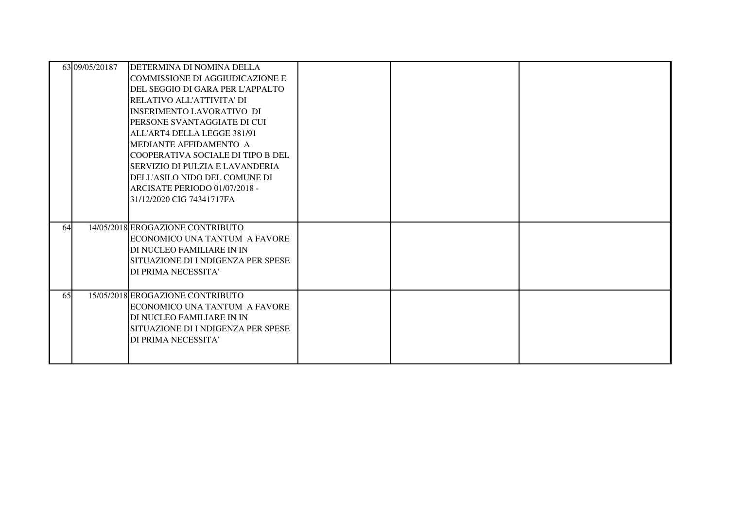|    | 63 09/05/20187 | DETERMINA DI NOMINA DELLA<br>COMMISSIONE DI AGGIUDICAZIONE E<br>DEL SEGGIO DI GARA PER L'APPALTO<br>RELATIVO ALL'ATTIVITA' DI<br>INSERIMENTO LAVORATIVO DI<br>PERSONE SVANTAGGIATE DI CUI<br>ALL'ART4 DELLA LEGGE 381/91<br>MEDIANTE AFFIDAMENTO A<br>ICOOPERATIVA SOCIALE DI TIPO B DEL<br>SERVIZIO DI PULZIA E LAVANDERIA<br>DELL'ASILO NIDO DEL COMUNE DI<br>ARCISATE PERIODO 01/07/2018 -<br>31/12/2020 CIG 74341717FA |  |  |
|----|----------------|----------------------------------------------------------------------------------------------------------------------------------------------------------------------------------------------------------------------------------------------------------------------------------------------------------------------------------------------------------------------------------------------------------------------------|--|--|
| 64 |                | 14/05/2018 EROGAZIONE CONTRIBUTO<br>ECONOMICO UNA TANTUM A FAVORE<br>DI NUCLEO FAMILIARE IN IN<br>ISITUAZIONE DI I NDIGENZA PER SPESE<br>DI PRIMA NECESSITA'                                                                                                                                                                                                                                                               |  |  |
| 65 |                | 15/05/2018 EROGAZIONE CONTRIBUTO<br>ECONOMICO UNA TANTUM A FAVORE<br>DI NUCLEO FAMILIARE IN IN<br>SITUAZIONE DI I NDIGENZA PER SPESE<br>DI PRIMA NECESSITA'                                                                                                                                                                                                                                                                |  |  |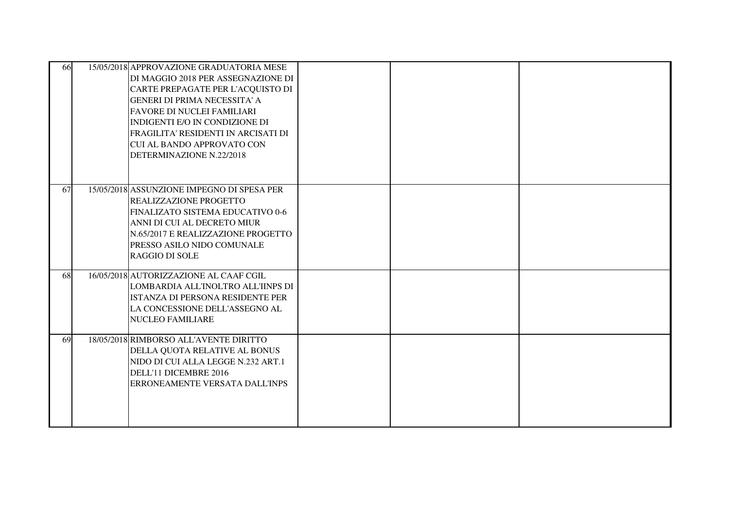| 66 | 15/05/2018 APPROVAZIONE GRADUATORIA MESE<br>DI MAGGIO 2018 PER ASSEGNAZIONE DI<br>CARTE PREPAGATE PER L'ACQUISTO DI<br><b>GENERI DI PRIMA NECESSITA' A</b><br><b>FAVORE DI NUCLEI FAMILIARI</b><br>INDIGENTI E/O IN CONDIZIONE DI<br>FRAGILITA' RESIDENTI IN ARCISATI DI<br><b>CUI AL BANDO APPROVATO CON</b><br>DETERMINAZIONE N.22/2018 |  |  |
|----|-------------------------------------------------------------------------------------------------------------------------------------------------------------------------------------------------------------------------------------------------------------------------------------------------------------------------------------------|--|--|
| 67 | 15/05/2018 ASSUNZIONE IMPEGNO DI SPESA PER<br><b>REALIZZAZIONE PROGETTO</b><br>FINALIZATO SISTEMA EDUCATIVO 0-6<br>ANNI DI CUI AL DECRETO MIUR<br>N.65/2017 E REALIZZAZIONE PROGETTO<br>PRESSO ASILO NIDO COMUNALE<br><b>RAGGIO DI SOLE</b>                                                                                               |  |  |
| 68 | 16/05/2018 AUTORIZZAZIONE AL CAAF CGIL<br>LOMBARDIA ALL'INOLTRO ALL'IINPS DI<br>ISTANZA DI PERSONA RESIDENTE PER<br>LA CONCESSIONE DELL'ASSEGNO AL<br><b>NUCLEO FAMILIARE</b>                                                                                                                                                             |  |  |
| 69 | 18/05/2018 RIMBORSO ALL'AVENTE DIRITTO<br>DELLA QUOTA RELATIVE AL BONUS<br>NIDO DI CUI ALLA LEGGE N.232 ART.1<br>DELL'11 DICEMBRE 2016<br>ERRONEAMENTE VERSATA DALL'INPS                                                                                                                                                                  |  |  |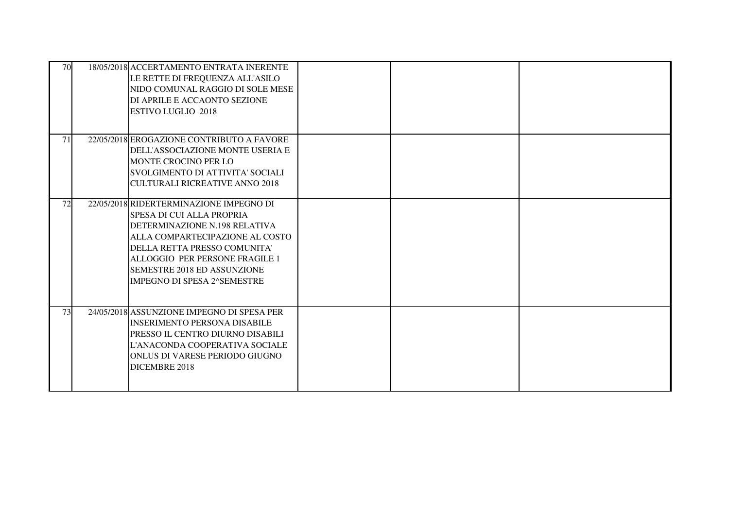| 70 | 18/05/2018 ACCERTAMENTO ENTRATA INERENTE<br>LE RETTE DI FREQUENZA ALL'ASILO<br>NIDO COMUNAL RAGGIO DI SOLE MESE<br>DI APRILE E ACCAONTO SEZIONE<br><b>ESTIVO LUGLIO 2018</b>                                                                                                    |  |  |
|----|---------------------------------------------------------------------------------------------------------------------------------------------------------------------------------------------------------------------------------------------------------------------------------|--|--|
| 71 | 22/05/2018 EROGAZIONE CONTRIBUTO A FAVORE<br>DELL'ASSOCIAZIONE MONTE USERIA E<br>MONTE CROCINO PER LO<br>SVOLGIMENTO DI ATTIVITA' SOCIALI<br><b>CULTURALI RICREATIVE ANNO 2018</b>                                                                                              |  |  |
| 72 | 22/05/2018 RIDERTERMINAZIONE IMPEGNO DI<br>SPESA DI CUI ALLA PROPRIA<br>DETERMINAZIONE N.198 RELATIVA<br>ALLA COMPARTECIPAZIONE AL COSTO<br>DELLA RETTA PRESSO COMUNITA'<br>ALLOGGIO PER PERSONE FRAGILE 1<br>SEMESTRE 2018 ED ASSUNZIONE<br><b>IMPEGNO DI SPESA 2^SEMESTRE</b> |  |  |
| 73 | 24/05/2018 ASSUNZIONE IMPEGNO DI SPESA PER<br><b>INSERIMENTO PERSONA DISABILE</b><br>PRESSO IL CENTRO DIURNO DISABILI<br>L'ANACONDA COOPERATIVA SOCIALE<br>ONLUS DI VARESE PERIODO GIUGNO<br>DICEMBRE 2018                                                                      |  |  |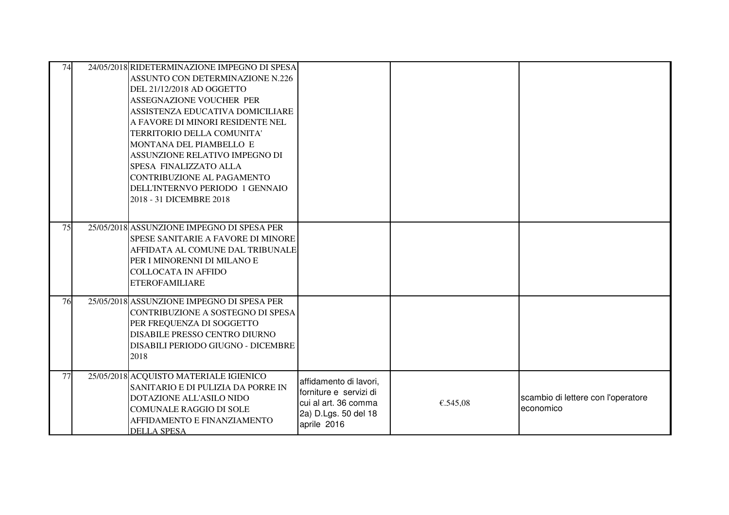| 74 | 24/05/2018 RIDETERMINAZIONE IMPEGNO DI SPESA<br><b>ASSUNTO CON DETERMINAZIONE N.226</b><br>DEL 21/12/2018 AD OGGETTO<br>ASSEGNAZIONE VOUCHER PER<br>ASSISTENZA EDUCATIVA DOMICILIARE<br>A FAVORE DI MINORI RESIDENTE NEL<br>TERRITORIO DELLA COMUNITA'<br>MONTANA DEL PIAMBELLO E<br>ASSUNZIONE RELATIVO IMPEGNO DI<br>SPESA FINALIZZATO ALLA<br>CONTRIBUZIONE AL PAGAMENTO<br>DELL'INTERNVO PERIODO 1 GENNAIO<br>2018 - 31 DICEMBRE 2018 |                                                                                                                 |          |                                                 |
|----|-------------------------------------------------------------------------------------------------------------------------------------------------------------------------------------------------------------------------------------------------------------------------------------------------------------------------------------------------------------------------------------------------------------------------------------------|-----------------------------------------------------------------------------------------------------------------|----------|-------------------------------------------------|
| 75 | 25/05/2018 ASSUNZIONE IMPEGNO DI SPESA PER<br>SPESE SANITARIE A FAVORE DI MINORE<br>AFFIDATA AL COMUNE DAL TRIBUNALE<br>PER I MINORENNI DI MILANO E<br><b>COLLOCATA IN AFFIDO</b><br><b>ETEROFAMILIARE</b>                                                                                                                                                                                                                                |                                                                                                                 |          |                                                 |
| 76 | 25/05/2018 ASSUNZIONE IMPEGNO DI SPESA PER<br>CONTRIBUZIONE A SOSTEGNO DI SPESA<br>PER FREQUENZA DI SOGGETTO<br>DISABILE PRESSO CENTRO DIURNO<br>DISABILI PERIODO GIUGNO - DICEMBRE<br>2018                                                                                                                                                                                                                                               |                                                                                                                 |          |                                                 |
| 77 | 25/05/2018 ACQUISTO MATERIALE IGIENICO<br>SANITARIO E DI PULIZIA DA PORRE IN<br><b>DOTAZIONE ALL'ASILO NIDO</b><br><b>COMUNALE RAGGIO DI SOLE</b><br>AFFIDAMENTO E FINANZIAMENTO<br><b>DELLA SPESA</b>                                                                                                                                                                                                                                    | affidamento di lavori,<br>forniture e servizi di<br>cui al art. 36 comma<br>2a) D.Lgs. 50 del 18<br>aprile 2016 | €.545,08 | scambio di lettere con l'operatore<br>economico |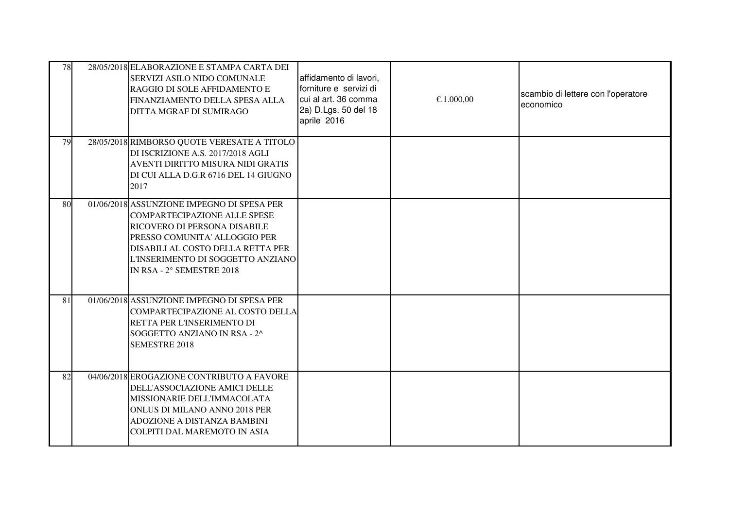| 78 | 28/05/2018 ELABORAZIONE E STAMPA CARTA DEI<br>SERVIZI ASILO NIDO COMUNALE<br>RAGGIO DI SOLE AFFIDAMENTO E<br>FINANZIAMENTO DELLA SPESA ALLA<br>DITTA MGRAF DI SUMIRAGO                                                                                    | affidamento di lavori,<br>forniture e servizi di<br>cui al art. 36 comma<br>2a) D.Lgs. 50 del 18<br>aprile 2016 | €.1.000,00 | scambio di lettere con l'operatore<br>economico |
|----|-----------------------------------------------------------------------------------------------------------------------------------------------------------------------------------------------------------------------------------------------------------|-----------------------------------------------------------------------------------------------------------------|------------|-------------------------------------------------|
| 79 | 28/05/2018 RIMBORSO QUOTE VERESATE A TITOLO<br>DI ISCRIZIONE A.S. 2017/2018 AGLI<br>AVENTI DIRITTO MISURA NIDI GRATIS<br>DI CUI ALLA D.G.R 6716 DEL 14 GIUGNO<br>2017                                                                                     |                                                                                                                 |            |                                                 |
| 80 | 01/06/2018 ASSUNZIONE IMPEGNO DI SPESA PER<br><b>COMPARTECIPAZIONE ALLE SPESE</b><br>RICOVERO DI PERSONA DISABILE<br>PRESSO COMUNITA' ALLOGGIO PER<br>DISABILI AL COSTO DELLA RETTA PER<br>L'INSERIMENTO DI SOGGETTO ANZIANO<br>IN RSA - 2° SEMESTRE 2018 |                                                                                                                 |            |                                                 |
| 81 | 01/06/2018 ASSUNZIONE IMPEGNO DI SPESA PER<br>COMPARTECIPAZIONE AL COSTO DELLA<br>RETTA PER L'INSERIMENTO DI<br>SOGGETTO ANZIANO IN RSA - 2^<br><b>SEMESTRE 2018</b>                                                                                      |                                                                                                                 |            |                                                 |
| 82 | 04/06/2018 EROGAZIONE CONTRIBUTO A FAVORE<br>DELL'ASSOCIAZIONE AMICI DELLE<br>MISSIONARIE DELL'IMMACOLATA<br>ONLUS DI MILANO ANNO 2018 PER<br>ADOZIONE A DISTANZA BAMBINI<br>COLPITI DAL MAREMOTO IN ASIA                                                 |                                                                                                                 |            |                                                 |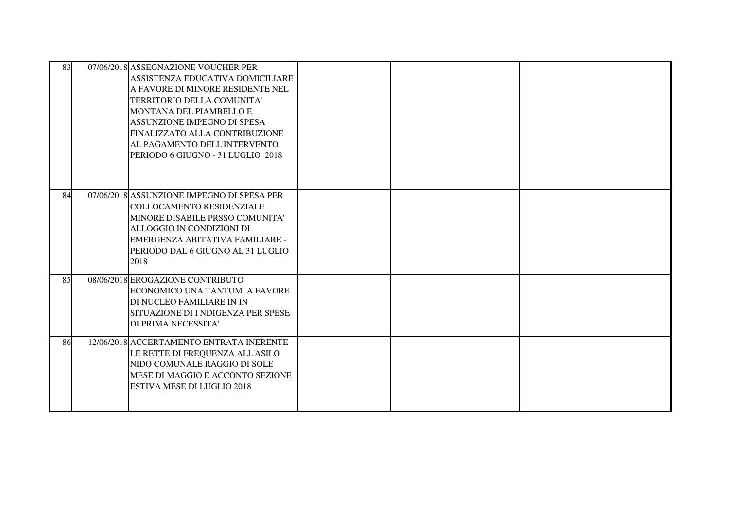| 83 | 07/06/2018 ASSEGNAZIONE VOUCHER PER<br>ASSISTENZA EDUCATIVA DOMICILIARE<br>A FAVORE DI MINORE RESIDENTE NEL<br>TERRITORIO DELLA COMUNITA'<br>MONTANA DEL PIAMBELLO E<br>ASSUNZIONE IMPEGNO DI SPESA<br>FINALIZZATO ALLA CONTRIBUZIONE<br>AL PAGAMENTO DELL'INTERVENTO<br>PERIODO 6 GIUGNO - 31 LUGLIO 2018 |  |  |
|----|------------------------------------------------------------------------------------------------------------------------------------------------------------------------------------------------------------------------------------------------------------------------------------------------------------|--|--|
| 84 | 07/06/2018 ASSUNZIONE IMPEGNO DI SPESA PER<br>COLLOCAMENTO RESIDENZIALE<br>MINORE DISABILE PRSSO COMUNITA'<br>ALLOGGIO IN CONDIZIONI DI<br>EMERGENZA ABITATIVA FAMILIARE -<br>PERIODO DAL 6 GIUGNO AL 31 LUGLIO<br>2018                                                                                    |  |  |
| 85 | 08/06/2018 EROGAZIONE CONTRIBUTO<br>ECONOMICO UNA TANTUM A FAVORE<br>DI NUCLEO FAMILIARE IN IN<br>SITUAZIONE DI I NDIGENZA PER SPESE<br>DI PRIMA NECESSITA'                                                                                                                                                |  |  |
| 86 | 12/06/2018 ACCERTAMENTO ENTRATA INERENTE<br>LE RETTE DI FREQUENZA ALL'ASILO<br>NIDO COMUNALE RAGGIO DI SOLE<br>MESE DI MAGGIO E ACCONTO SEZIONE<br><b>ESTIVA MESE DI LUGLIO 2018</b>                                                                                                                       |  |  |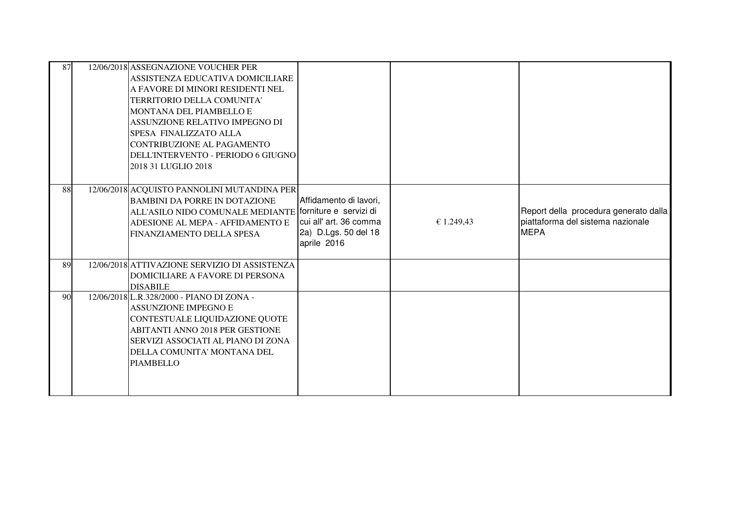| 87 | 12/06/2018 ASSEGNAZIONE VOUCHER PER<br>ASSISTENZA EDUCATIVA DOMICILIARE<br>A FAVORE DI MINORI RESIDENTI NEL<br>TERRITORIO DELLA COMUNITA'<br>MONTANA DEL PIAMBELLO E<br>ASSUNZIONE RELATIVO IMPEGNO DI<br>SPESA FINALIZZATO ALLA<br>CONTRIBUZIONE AL PAGAMENTO<br>DELL'INTERVENTO - PERIODO 6 GIUGNO |                                                                                         |            |                                                                                           |
|----|------------------------------------------------------------------------------------------------------------------------------------------------------------------------------------------------------------------------------------------------------------------------------------------------------|-----------------------------------------------------------------------------------------|------------|-------------------------------------------------------------------------------------------|
|    | 2018 31 LUGLIO 2018                                                                                                                                                                                                                                                                                  |                                                                                         |            |                                                                                           |
| 88 | 12/06/2018 ACQUISTO PANNOLINI MUTANDINA PER<br><b>BAMBINI DA PORRE IN DOTAZIONE</b><br>ALL'ASILO NIDO COMUNALE MEDIANTE forniture e servizi di<br>ADESIONE AL MEPA - AFFIDAMENTO E<br>FINANZIAMENTO DELLA SPESA                                                                                      | Affidamento di lavori,<br>cui all' art. 36 comma<br>2a) D.Lgs. 50 del 18<br>aprile 2016 | € 1.249,43 | Report della procedura generato dalla<br>piattaforma del sistema nazionale<br><b>MEPA</b> |
| 89 | 12/06/2018 ATTIVAZIONE SERVIZIO DI ASSISTENZA<br>DOMICILIARE A FAVORE DI PERSONA<br><b>DISABILE</b>                                                                                                                                                                                                  |                                                                                         |            |                                                                                           |
| 90 | 12/06/2018 L.R.328/2000 - PIANO DI ZONA -<br><b>ASSUNZIONE IMPEGNO E</b><br>CONTESTUALE LIQUIDAZIONE QUOTE<br><b>ABITANTI ANNO 2018 PER GESTIONE</b><br>SERVIZI ASSOCIATI AL PIANO DI ZONA<br>DELLA COMUNITA' MONTANA DEL<br><b>PIAMBELLO</b>                                                        |                                                                                         |            |                                                                                           |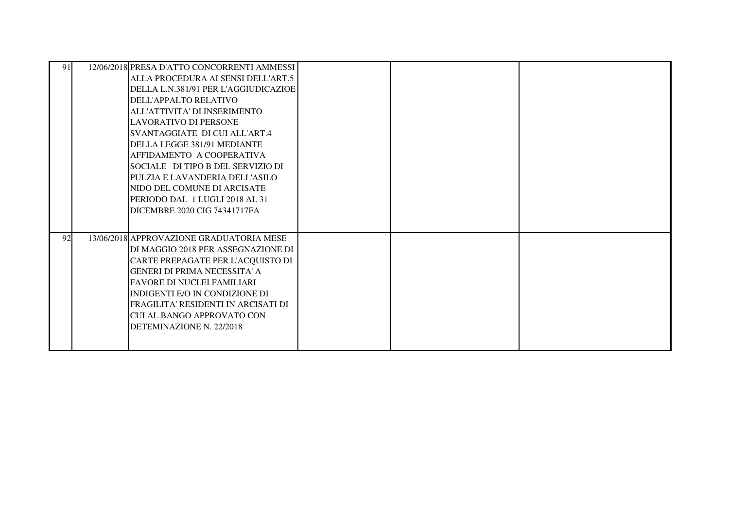| 91 | 12/06/2018 PRESA D'ATTO CONCORRENTI AMMESSI<br>ALLA PROCEDURA AI SENSI DELL'ART.5<br>DELLA L.N.381/91 PER L'AGGIUDICAZIOE<br>DELL'APPALTO RELATIVO<br>ALL'ATTIVITA' DI INSERIMENTO<br>LAVORATIVO DI PERSONE<br>SVANTAGGIATE DI CUI ALL'ART.4<br>DELLA LEGGE 381/91 MEDIANTE<br>AFFIDAMENTO A COOPERATIVA<br>SOCIALE DI TIPO B DEL SERVIZIO DI<br>PULZIA E LAVANDERIA DELL'ASILO<br>NIDO DEL COMUNE DI ARCISATE<br>PERIODO DAL 1 LUGLI 2018 AL 31<br>DICEMBRE 2020 CIG 74341717FA |  |  |
|----|----------------------------------------------------------------------------------------------------------------------------------------------------------------------------------------------------------------------------------------------------------------------------------------------------------------------------------------------------------------------------------------------------------------------------------------------------------------------------------|--|--|
| 92 | 13/06/2018 APPROVAZIONE GRADUATORIA MESE<br>DI MAGGIO 2018 PER ASSEGNAZIONE DI<br>CARTE PREPAGATE PER L'ACQUISTO DI<br><b>GENERI DI PRIMA NECESSITA' A</b><br><b>FAVORE DI NUCLEI FAMILIARI</b><br>INDIGENTI E/O IN CONDIZIONE DI<br>FRAGILITA' RESIDENTI IN ARCISATI DI<br><b>CUI AL BANGO APPROVATO CON</b><br>DETEMINAZIONE N. 22/2018                                                                                                                                        |  |  |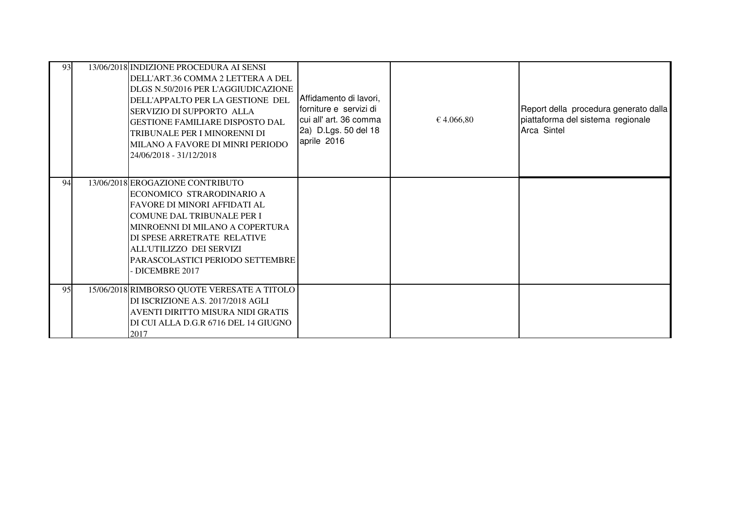| 93 | 13/06/2018 INDIZIONE PROCEDURA AI SENSI<br>DELL'ART.36 COMMA 2 LETTERA A DEL<br>DLGS N.50/2016 PER L'AGGIUDICAZIONE<br>DELL'APPALTO PER LA GESTIONE DEL<br>SERVIZIO DI SUPPORTO ALLA<br><b>GESTIONE FAMILIARE DISPOSTO DAL</b><br>TRIBUNALE PER I MINORENNI DI<br>MILANO A FAVORE DI MINRI PERIODO<br>24/06/2018 - 31/12/2018 | Affidamento di lavori,<br>forniture e servizi di<br>cui all' art. 36 comma<br>2a) D.Lgs. 50 del 18<br>aprile 2016 | € 4.066,80 | Report della procedura generato dalla<br>piattaforma del sistema regionale<br>Arca Sintel |
|----|-------------------------------------------------------------------------------------------------------------------------------------------------------------------------------------------------------------------------------------------------------------------------------------------------------------------------------|-------------------------------------------------------------------------------------------------------------------|------------|-------------------------------------------------------------------------------------------|
| 94 | 13/06/2018 EROGAZIONE CONTRIBUTO<br>ECONOMICO STRARODINARIO A<br><b>FAVORE DI MINORI AFFIDATI AL</b><br><b>COMUNE DAL TRIBUNALE PER I</b><br>MINROENNI DI MILANO A COPERTURA<br>DI SPESE ARRETRATE RELATIVE<br>ALL'UTILIZZO DEI SERVIZI<br>PARASCOLASTICI PERIODO SETTEMBRE<br>DICEMBRE 2017                                  |                                                                                                                   |            |                                                                                           |
| 95 | 15/06/2018 RIMBORSO QUOTE VERESATE A TITOLO<br>DI ISCRIZIONE A.S. 2017/2018 AGLI<br>AVENTI DIRITTO MISURA NIDI GRATIS<br>DI CUI ALLA D.G.R 6716 DEL 14 GIUGNO<br>2017                                                                                                                                                         |                                                                                                                   |            |                                                                                           |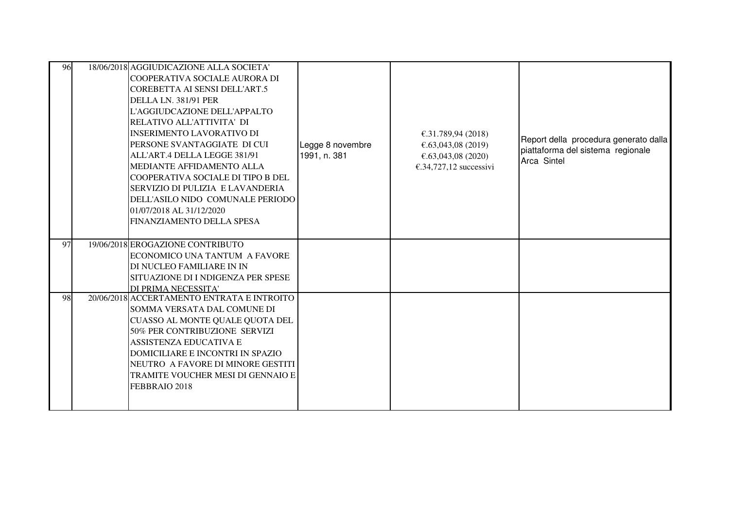| 96 | 18/06/2018 AGGIUDICAZIONE ALLA SOCIETA'<br>COOPERATIVA SOCIALE AURORA DI |                  |                        |                                       |
|----|--------------------------------------------------------------------------|------------------|------------------------|---------------------------------------|
|    | COREBETTA AI SENSI DELL'ART.5                                            |                  |                        |                                       |
|    | DELLA LN. 381/91 PER                                                     |                  |                        |                                       |
|    | L'AGGIUDCAZIONE DELL'APPALTO                                             |                  |                        |                                       |
|    | RELATIVO ALL'ATTIVITA' DI                                                |                  |                        |                                       |
|    | <b>INSERIMENTO LAVORATIVO DI</b>                                         |                  | €.31.789,94 (2018)     | Report della procedura generato dalla |
|    | PERSONE SVANTAGGIATE DI CUI                                              | Legge 8 novembre | €.63,043,08 (2019)     | piattaforma del sistema regionale     |
|    | ALL'ART.4 DELLA LEGGE 381/91                                             | 1991, n. 381     | €.63,043,08 (2020)     | Arca Sintel                           |
|    | MEDIANTE AFFIDAMENTO ALLA                                                |                  | €.34,727,12 successivi |                                       |
|    | COOPERATIVA SOCIALE DI TIPO B DEL                                        |                  |                        |                                       |
|    | SERVIZIO DI PULIZIA E LAVANDERIA                                         |                  |                        |                                       |
|    | DELL'ASILO NIDO COMUNALE PERIODO                                         |                  |                        |                                       |
|    | 01/07/2018 AL 31/12/2020<br>FINANZIAMENTO DELLA SPESA                    |                  |                        |                                       |
|    |                                                                          |                  |                        |                                       |
| 97 | 19/06/2018 EROGAZIONE CONTRIBUTO                                         |                  |                        |                                       |
|    | ECONOMICO UNA TANTUM A FAVORE                                            |                  |                        |                                       |
|    | DI NUCLEO FAMILIARE IN IN                                                |                  |                        |                                       |
|    | SITUAZIONE DI I NDIGENZA PER SPESE                                       |                  |                        |                                       |
|    | DI PRIMA NECESSITA'                                                      |                  |                        |                                       |
| 98 | 20/06/2018 ACCERTAMENTO ENTRATA E INTROITO                               |                  |                        |                                       |
|    | SOMMA VERSATA DAL COMUNE DI                                              |                  |                        |                                       |
|    | CUASSO AL MONTE QUALE QUOTA DEL<br>50% PER CONTRIBUZIONE SERVIZI         |                  |                        |                                       |
|    | <b>ASSISTENZA EDUCATIVA E</b>                                            |                  |                        |                                       |
|    | DOMICILIARE E INCONTRI IN SPAZIO                                         |                  |                        |                                       |
|    | NEUTRO A FAVORE DI MINORE GESTITI                                        |                  |                        |                                       |
|    | TRAMITE VOUCHER MESI DI GENNAIO E                                        |                  |                        |                                       |
|    | FEBBRAIO 2018                                                            |                  |                        |                                       |
|    |                                                                          |                  |                        |                                       |
|    |                                                                          |                  |                        |                                       |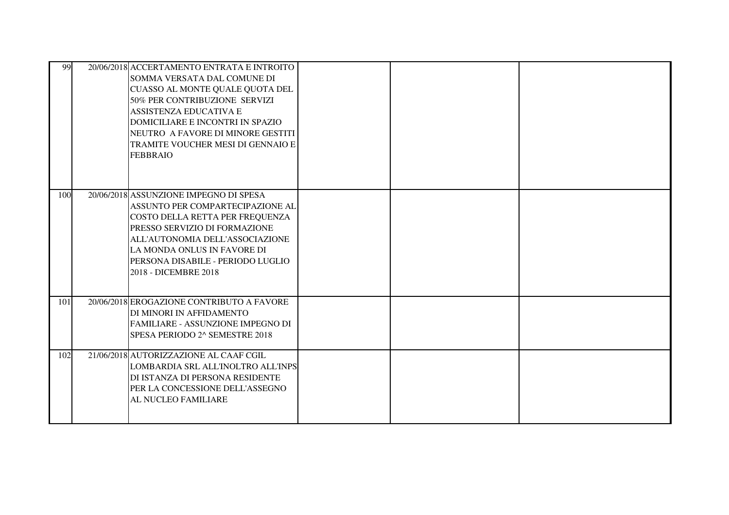| 99  | 20/06/2018 ACCERTAMENTO ENTRATA E INTROITO<br>SOMMA VERSATA DAL COMUNE DI<br>CUASSO AL MONTE QUALE QUOTA DEL<br>50% PER CONTRIBUZIONE SERVIZI<br>ASSISTENZA EDUCATIVA E<br>DOMICILIARE E INCONTRI IN SPAZIO<br>NEUTRO A FAVORE DI MINORE GESTITI<br>TRAMITE VOUCHER MESI DI GENNAIO E<br><b>FEBBRAIO</b> |  |  |
|-----|----------------------------------------------------------------------------------------------------------------------------------------------------------------------------------------------------------------------------------------------------------------------------------------------------------|--|--|
| 100 | 20/06/2018 ASSUNZIONE IMPEGNO DI SPESA<br>ASSUNTO PER COMPARTECIPAZIONE AL<br>COSTO DELLA RETTA PER FREQUENZA<br>PRESSO SERVIZIO DI FORMAZIONE<br>ALL'AUTONOMIA DELL'ASSOCIAZIONE<br>LA MONDA ONLUS IN FAVORE DI<br>PERSONA DISABILE - PERIODO LUGLIO<br>2018 - DICEMBRE 2018                            |  |  |
| 101 | 20/06/2018 EROGAZIONE CONTRIBUTO A FAVORE<br>DI MINORI IN AFFIDAMENTO<br><b>FAMILIARE - ASSUNZIONE IMPEGNO DI</b><br>SPESA PERIODO 2^ SEMESTRE 2018                                                                                                                                                      |  |  |
| 102 | 21/06/2018 AUTORIZZAZIONE AL CAAF CGIL<br>LOMBARDIA SRL ALL'INOLTRO ALL'INPS<br>DI ISTANZA DI PERSONA RESIDENTE<br>PER LA CONCESSIONE DELL'ASSEGNO<br>AL NUCLEO FAMILIARE                                                                                                                                |  |  |